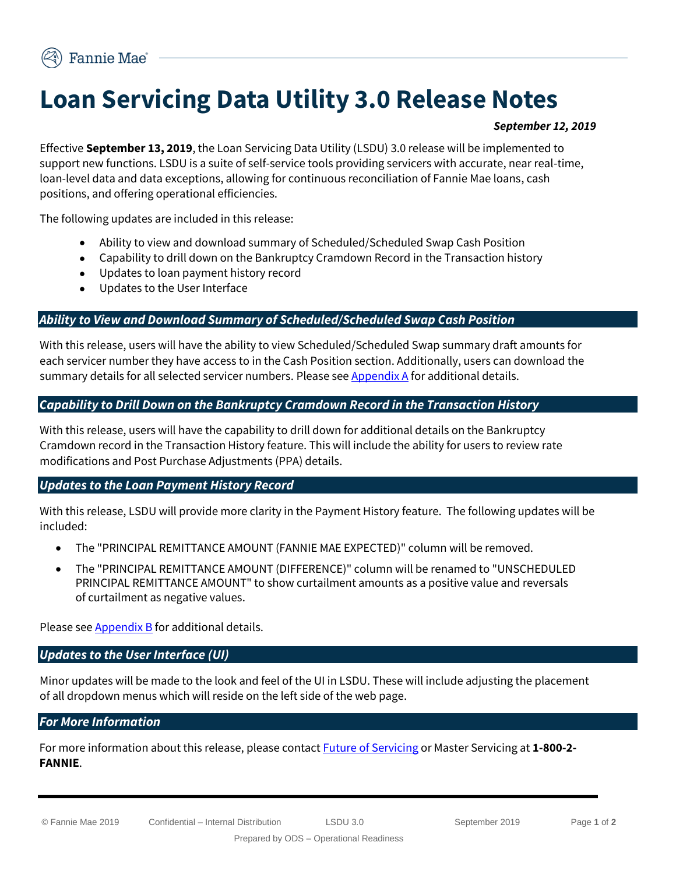# **Loan Servicing Data Utility 3.0 Release Notes**

#### *September 12, 2019*

Effective **September 13, 2019**, the Loan Servicing Data Utility (LSDU) 3.0 release will be implemented to support new functions. LSDU is a suite of self-service tools providing servicers with accurate, near real-time, loan-level data and data exceptions, allowing for continuous reconciliation of Fannie Mae loans, cash positions, and offering operational efficiencies.

The following updates are included in this release:

- Ability to view and download summary of Scheduled/Scheduled Swap Cash Position
- Capability to drill down on the Bankruptcy Cramdown Record in the Transaction history
- Updates to loan payment history record
- Updates to the User Interface

## *Ability to View and Download Summary of Scheduled/Scheduled Swap Cash Position*

With this release, users will have the ability to view Scheduled/Scheduled Swap summary draft amounts for each servicer number they have access to in the Cash Position section. Additionally, users can download the summary details for all selected servicer numbers. Please see  $\Delta$ ppendix  $\Delta$  for additional details.

## *Capability to Drill Down on the Bankruptcy Cramdown Record in the Transaction History*

With this release, users will have the capability to drill down for additional details on the Bankruptcy Cramdown record in the Transaction History feature. This will include the ability for users to review rate modifications and Post Purchase Adjustments (PPA) details.

# *Updates to the Loan Payment History Record*

With this release, LSDU will provide more clarity in the Payment History feature. The following updates will be included:

- The "PRINCIPAL REMITTANCE AMOUNT (FANNIE MAE EXPECTED)" column will be removed.
- The "PRINCIPAL REMITTANCE AMOUNT (DIFFERENCE)" column will be renamed to "UNSCHEDULED PRINCIPAL REMITTANCE AMOUNT" to show curtailment amounts as a positive value and reversals of curtailment as negative values.

Please see [Appendix B](#page-1-1) for additional details.

#### *Updates to the User Interface (UI)*

Minor updates will be made to the look and feel of the UI in LSDU. These will include adjusting the placement of all dropdown menus which will reside on the left side of the web page.

# *For More Information*

For more information about this release, please contac[t Future of Servicing](mailto:future_of_servicing@fanniemae.com?subject=LSDU%203.0%20Release%20Notes) or Master Servicing at **1-800-2- FANNIE**.